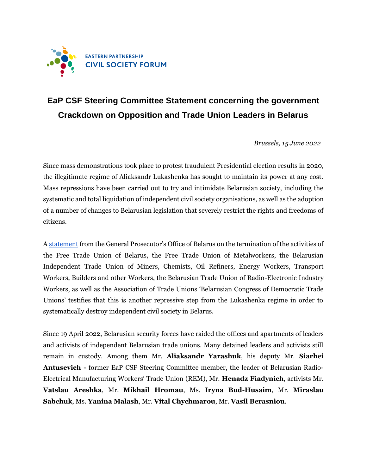

## **EaP CSF Steering Committee Statement concerning the government Crackdown on Opposition and Trade Union Leaders in Belarus**

*Brussels, 15 June 2022*

Since mass demonstrations took place to protest fraudulent Presidential election results in 2020, the illegitimate regime of Aliaksandr Lukashenka has sought to maintain its power at any cost. Mass repressions have been carried out to try and intimidate Belarusian society, including the systematic and total liquidation of independent civil society organisations, as well as the adoption of a number of changes to Belarusian legislation that severely restrict the rights and freedoms of citizens.

A [statement](https://bkdp.org/news/nezavisimye-profsoyuzy-v-belarusi-hotyat-likvidirovat) from the General Prosecutor's Office of Belarus on the termination of the activities of the Free Trade Union of Belarus, the Free Trade Union of Metalworkers, the Belarusian Independent Trade Union of Miners, Chemists, Oil Refiners, Energy Workers, Transport Workers, Builders and other Workers, the Belarusian Trade Union of Radio-Electronic Industry Workers, as well as the Association of Trade Unions 'Belarusian Congress of Democratic Trade Unions' testifies that this is another repressive step from the Lukashenka regime in order to systematically destroy independent civil society in Belarus.

Since 19 April 2022, Belarusian security forces have raided the offices and apartments of leaders and activists of independent Belarusian trade unions. Many detained leaders and activists still remain in custody. Among them Mr. **Aliaksandr Yarashuk**, his deputy Mr. **Siarhei Antusevich -** former EaP CSF Steering Committee member, the leader of Belarusian Radio-Electrical Manufacturing Workers' Trade Union (REM), Mr. **Henadz Fiadynich**, activists Mr. **Vatslau Areshka**, Mr. **Mikhail Hromau**, Ms. **Iryna Bud-Husaim**, Mr. **Miraslau Sabchuk**, Ms. **Yanina Malash**, Mr. **Vital Chychmarou**, Mr. **Vasil Berasniou**.